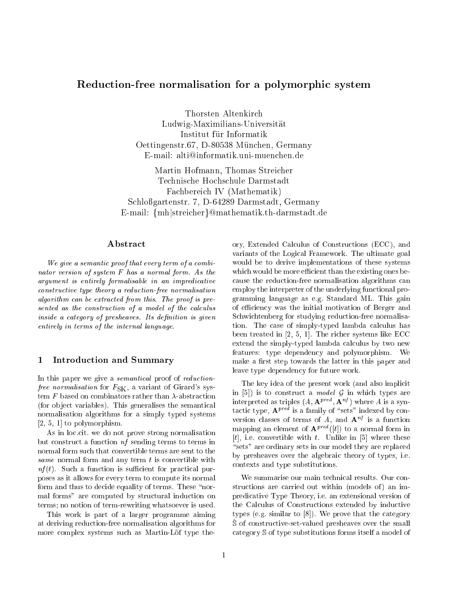# Reduction-free normalisation for <sup>a</sup> polymorphic system

Thorsten Altenkirch Ludwig-Maximilians-Universitat Institut für Informatik Oettingenstr.67, D-80538 Munchen, Germany E-mail: alti@informatik.uni-muenchen.de

Martin Hofmann, Thomas Streicher Technische Hochschule Darmstadt Fachbereich IV (Mathematik) Schlogartenstr. 7, D-64289 Darmstadt, Germany E-mail: {mh|streicher}@mathematik.th-darmstadt.de

## Abstract

We give a semantic proof that every term of a combinator version of system F has a normal form. As the argument is entirely formalisable in an impredicative constructive type theory a reduction-free normalisation algorithm can be extracted from this. The proof is presented as the construction of a model of the calculus inside a category of presheaves. Its definition is given entirely in terms of the internal language.

## 1 Introduction and Summary

In this paper we give a *semantical* proof of *reductionfree normalisation* for  $F_{SK}$ , a variant of Girard's system F based on combinators rather than  $\lambda$ -abstraction (for ob ject variables). This generalises the semantical normalisation algorithms for a simply typed systems [2, 5, 1] to polymorphism.

As in loc.cit. we do not prove strong normalisation but construct a function nf sending terms to terms in normal form such that convertible terms are sent to the same normal form and any term  $t$  is convertible with  $nf(t)$ . Such a function is sufficient for practical purposes as it allows for every term to compute its normal form and thus to decide equality of terms. These "normal forms" are computed by structural induction on terms; no notion of term-rewriting whatsoever is used.

This work is part of a larger programme aiming at deriving reduction-free normalisation algorithms for more complex systems such as Martin-Löf type theory, Extended Calculus of Constructions (ECC), and variants of the Logical Framework. The ultimate goal would be to derive implementations of these systems which would be more efficient than the existing ones because the reduction-free normalisation algorithms can employ the interpreter of the underlying functional programming language as e.g. Standard ML. This gain of efficiency was the initial motivation of Berger and Schwichtenberg for studying reduction-free normalisation. The case of simply-typed lambda calculus has been treated in [2, 5, 1]. The richer systems like ECC extend the simply-typed lambda calculus by two new features: type dependency and polymorphism. We make a first step towards the latter in this paper and leave type dependency for future work.

The key idea of the present work (and also implicit in [5]) is to construct a model  $G$  in which types are interpreted as triples  $(A, \mathbf{A}^x)$  . An  $^x$  ) where A is a syn $t$ actic type,  $A<sup>r</sup>$  is a family of sets indexed by conversion classes of terms of A, and  $A^{nf}$  is a function mapping an element of  ${\bf A}^{P++}$  ([t]) to a normal form in [t], i.e. convertible with t. Unlike in [5] where these "sets" are ordinary sets in our model they are replaced by presheaves over the algebraic theory of types, i.e. contexts and type substitutions.

We summarise our main technical results. Our constructions are carried out within (models of) an impredicative Type Theory, i.e. an extensional version of the Calculus of Constructions extended by inductive types (e.g. similar to [8]). We prove that the category  $\hat{S}$  of constructive-set-valued presheaves over the small category <sup>S</sup> of type substitutions forms itself a model of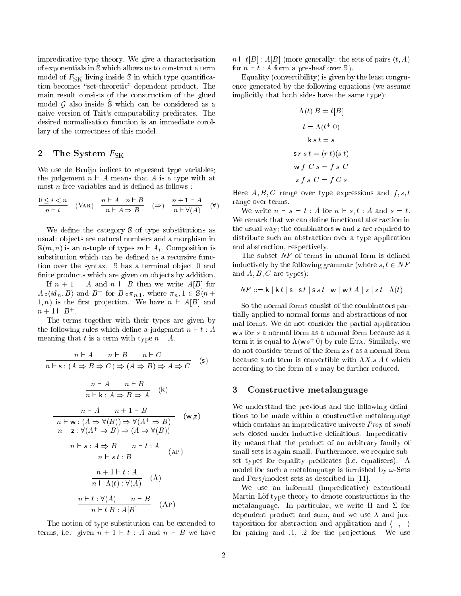impredicative type theory. We give a characterisation of exponentials in  $\hat{S}$  which allows us to construct a term model of  $F_{SK}$  living inside S in which type quantification becomes "set-theoretic" dependent product. The main result consists of the construction of the glued model  $\mathcal G$  also inside  $\mathcal S$  which can be considered as a naive version of Tait's computability predicates. The desired normalisation function is an immediate corollary of the correctness of this model.

## 2 The System  $F_{SK}$

We use de Bruijn indices to represent type variables; the judgement  $n \vdash A$  means that A is a type with at most  $n$  free variables and is defined as follows :

$$
\frac{0 \leq i < n}{n+i} \quad \text{(VaR)} \quad \frac{n \vdash A \quad n \vdash B}{n \vdash A \Rightarrow B} \quad (\Rightarrow) \quad \frac{n+1 \vdash A}{n \vdash \forall (A)} \quad (\forall)
$$

We define the category  $\mathcal S$  of type substitutions as usual: ob jects are natural numbers and a morphism in  $\mathbb{S}(m, n)$  is an *n*-tuple of types  $m \vdash A_i$ . Composition is substitution which can be defined as a recursive function over the syntax. S has a terminal object 0 and finite products which are given on objects by addition.

If  $n + 1 \vdash A$  and  $n \vdash B$  then we write  $A[B]$  for  $A \circ (a_n, B)$  and B for  $B \circ \pi_{n,1}$ , where  $\pi_n$ ,  $1 \in \mathcal{B}(n + 1)$ 1, *n*) is the first projection. We have  $n \vdash A[B]$  and  $n + 1 \sqsubset B$ 

The terms together with their types are given by the following rules which define a judgement  $n \vdash t : A$ meaning that t is a term with type  $n \vdash A$ .

$$
n \vdash A \quad n \vdash B \quad n \vdash C
$$
\n
$$
n \vdash s : (A \Rightarrow B \Rightarrow C) \Rightarrow (A \Rightarrow B) \Rightarrow A \Rightarrow C
$$
\n
$$
(s)
$$
\n
$$
\frac{n \vdash A \quad n \vdash B}{n \vdash k : A \Rightarrow B \Rightarrow A}
$$
\n
$$
(k)
$$
\n
$$
\frac{n \vdash A \quad n+1 \vdash B}{n \vdash w : (A \Rightarrow \forall (B)) \Rightarrow \forall (A^{+} \Rightarrow B)} \quad (w,z)
$$
\n
$$
n \vdash z : \forall (A^{+} \Rightarrow B) \Rightarrow (A \Rightarrow \forall (B))
$$
\n
$$
\frac{n \vdash s : A \Rightarrow B \quad n \vdash t : A}{n \vdash s t : B} \quad (AP)
$$
\n
$$
\frac{n+1 \vdash t : A}{n \vdash \Lambda(t) : \forall (A)} \quad (\Lambda)
$$
\n
$$
\frac{n \vdash t : \forall (A) \quad n \vdash B}{n \vdash t : A[B]} \quad (\text{AP})
$$

The notion of type substitution can be extended to terms, i.e. given  $n + 1 \vdash t : A$  and  $n \vdash B$  we have  $n \vdash t[B] : A[B]$  (more generally: the sets of pairs  $(t, A)$ ) for  $n \vdash t : A$  form a presheaf over  $\mathbb{S}$ ).

Equality (convertibility) is given by the least congruence generated by the following equations (we assume implicitly that both sides have the same type):

$$
\Lambda(t) B = t[B]
$$
  
\n
$$
t = \Lambda(t^{+} 0)
$$
  
\n
$$
k s t = s
$$
  
\n
$$
s r s t = (r t)(s t)
$$
  
\n
$$
w f C s = f s C
$$
  
\n
$$
z f s C = f C s
$$

Here  $A, B, C$  range over type expressions and  $f, s, t$ range over terms.

We write  $n \vdash s = t : A$  for  $n \vdash s, t : A$  and  $s = t$ . We remark that we can define functional abstraction in the usual way; the combinators <sup>w</sup> and <sup>z</sup> are required to distribute such an abstraction over a type application and abstraction, respectively.

The subset  $NF$  of terms in normal form is defined inductively by the following grammar (where  $s, t \in NF$ and  $A, B, C$  are types):

$$
NF ::= \mathsf{k} \mid \mathsf{k} \ t \mid \mathsf{s} \mid \mathsf{s} \ t \mid \mathsf{s} \ s \ t \mid \mathsf{w} \mid \mathsf{w} \ t \ A \mid \mathsf{z} \mid \mathsf{z} \ t \mid \Lambda(t)
$$

So the normal forms consist of the combinators partially applied to normal forms and abstractions of normal forms. We do not consider the partial application w s for s a normal form as a normal form because as a term it is equal to  $\Lambda(w s^+ 0)$  by rule ETA. Similarly, we do not consider terms of the form  $z s t$  as a normal form because such term is convertible with  $\Lambda X.s. A t$  which according to the form of s may be further reduced.

## 3 Constructive metalanguage

We understand the previous and the following definitions to be made within a constructive metalanguage which contains an impredicative universe *Prop* of small sets closed under inductive definitions. Impredicativity means that the product of an arbitrary family of small sets is again small. Furthermore, we require subset types for equality predicates (i.e. equalisers). A model for such a metalanguage is furnished by  $\omega$ -Sets and Pers/modest sets as described in [11].

We use an informal (impredicative) extensional Martin-Löf type theory to denote constructions in the metalanguage. In particular, we write  $\Pi$  and  $\Sigma$  for dependent product and sum, and we use  $\lambda$  and juxtaposition for abstraction and application and  $\langle -, - \rangle$ for pairing and  $.1, .2$  for the projections. We use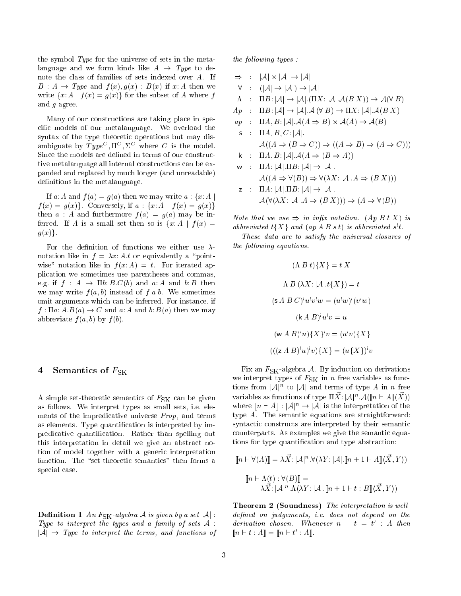the symbol Type for the universe of sets in the metalanguage and we form kinds like  $A \rightarrow Type$  to denote the class of families of sets indexed over A. If  $B: A \rightarrow Type$  and  $f(x), g(x) : B(x)$  if x: A then we write  $\{x: A \mid f(x) = g(x)\}\$ for the subset of A where f and g agree.

Many of our constructions are taking place in specic models of our metalanguage. We overload the syntax of the type theoretic operations but may disambiguate by  $Type^C, \Pi^C, \Sigma^C$  where C is the model. Since the models are defined in terms of our constructive metalanguage all internal constructions can be expanded and replaced by much longer (and unreadable) definitions in the metalanguage.

If a: A and  $f(a) = g(a)$  then we may write  $a : \{x : A |$  $f(x) = g(x)$ . Conversely, if  $a : \{x : A | f(x) = g(x)\}\$ then  $a : A$  and furthermore  $f(a) = g(a)$  may be inferred. If A is a small set then so is  $\{x: A \mid f(x) =$  $g(x)$ .

For the definition of functions we either use  $\lambda$ notation like in  $f = \lambda x$ : A.t or equivalently a "pointwise" notation like in  $f(x; A) = t$ . For iterated application we sometimes use parentheses and commas, e.g. if  $f : A \rightarrow \Pi b: B.C(b)$  and a: A and b: B then we may write  $f(a, b)$  instead of f a b. We sometimes omit arguments which can be inferred. For instance, if  $f: \Pi a: A.B(a) \to C$  and a: A and b:  $B(a)$  then we may abbreviate  $f(a, b)$  by  $f(b)$ .

#### Semantics of  $F_{SK}$  $\overline{4}$

A simple set-theoretic semantics of  $F_{SK}$  can be given as follows. We interpret types as small sets, i.e. elements of the impredicative universe Prop, and terms as elements. Type quantification is interpreted by impredicative quantification. Rather than spelling out this interpretation in detail we give an abstract notion of model together with a generic interpretation function. The "set-theoretic semantics" then forms a special case.

**Definition 1** An  $F_{SK}$ -algebra A is given by a set  $|A|$ : Type to interpret the types and a family of sets  $A$ :  $|\mathcal{A}| \rightarrow Type$  to interpret the terms, and functions of  $the\ following\ types:$ 

 $\Rightarrow$ ) : jAj - jAj ! jAj  $\forall$  :  $(|\mathcal{A}| \rightarrow |\mathcal{A}|) \rightarrow |\mathcal{A}|$  $\Lambda$  :  $\Pi B: |\mathcal{A}| \to |\mathcal{A}| \cdot (\Pi X: |\mathcal{A}| \cdot \mathcal{A}(B X)) \to \mathcal{A}(\forall B)$  $Ap$  :  $\Pi B: |\mathcal{A}| \to |\mathcal{A}| \mathcal{A} (\forall B) \to \Pi X: |\mathcal{A}| \mathcal{A}(B X)$  $\mathcal{L}_{\mathcal{P}}$  : After and all  $\mathcal{L}_{\mathcal{P}}$  , and all  $\mathcal{L}_{\mathcal{P}}$  , and all  $\mathcal{L}_{\mathcal{P}}$  , and all  $\mathcal{L}_{\mathcal{P}}$  $s$  :  $\Pi A, B, C: |\mathcal{A}|.$  $\mathcal{A}((A \Rightarrow (B \Rightarrow C)) \Rightarrow ((A \Rightarrow B) \Rightarrow (A \Rightarrow C)))$ k :  $\Pi A, B: |\mathcal{A}| \cdot \mathcal{A}(A \Rightarrow (B \Rightarrow A))$ w :  $\Pi A: |\mathcal{A}| \cdot \Pi B: |\mathcal{A}| \rightarrow |\mathcal{A}|.$  $\mathcal{A}((A \Rightarrow \forall (B)) \Rightarrow \forall (\lambda X: |\mathcal{A}| \cdot A \Rightarrow (B \ X)))$ z :  $\Pi A: |\mathcal{A}| \cdot \Pi B: |\mathcal{A}| \rightarrow |\mathcal{A}|.$  $A(\forall (\lambda X: |A|A \Rightarrow (B X))) \Rightarrow (A \Rightarrow \forall (B))$ 

Note that we use  $\Rightarrow$  in infix notation. (Ap B t X) is  $\mathit{a}$ boreviated  $\mathit{t}_i \Lambda$  and  $\mathit{u}$  ap A B s  $\mathit{t}_j$  is abbreviated s't.

These data are to satisfy the universal closures of the following equations.

$$
(\Lambda B t) \{X\} = t X
$$
  
\n
$$
\Lambda B (\lambda X : |A| \cdot t \{X\}) = t
$$
  
\n
$$
(\mathbf{s} \ A \ B \ C)^{\dagger} u^{\dagger} v^{\dagger} w = (u^{\dagger} w)^{\dagger} (v^{\dagger} w)
$$
  
\n
$$
(\mathbf{k} \ A \ B)^{\dagger} u^{\dagger} v = u
$$
  
\n
$$
(\mathbf{w} \ A \ B)^{\dagger} u \} \{X\}^{\dagger} v = (u^{\dagger} v) \{X\}
$$
  
\n
$$
(((z \ A \ B)^{\dagger} u)^{\dagger} v) \{X\} = (u \{X\})^{\dagger} v
$$

Fix an  $F_{SK}$ -algebra A. By induction on derivations we interpret types of  $F_{SK}$  in n free variables as functions from  $|A|^n$  to  $|A|$  and terms of type A in n free variables as functions of type  $\Pi X$ :  $\mathcal{A}(\Vert n \vdash A \Vert (X))$ where  $[n \vdash A] : |A|^n \to |A|$  is the interpretation of the type A. The semantic equations are straightforward: syntactic constructs are interpreted by their semantic counterparts. As examples we give the semantic equations for type quantication and type abstraction:

$$
[\![n \vdash \forall(A)]\!] = \lambda \vec{X} : |\mathcal{A}|^n \cdot \forall(\lambda Y : |\mathcal{A}| \cdot [\![n+1 \vdash A]\!] \langle \vec{X}, Y \rangle)
$$

$$
[\![n \vdash \Lambda(t) : \forall(B)]\!] = \lambda \vec{X} : |\mathcal{A}|^n \cdot \Lambda(\lambda Y : |\mathcal{A}| \cdot [\![n+1 \vdash t : B]\!] \langle \vec{X}, Y \rangle)
$$

Theorem 2 (Soundness) The interpretation is well $defined on judgements, i.e. does not depend on the$  $a$ erivation chosen. Whenever  $n \in \mathcal{U} = \mathcal{U}$  : A then  $||u \sqcap u : A|| = ||u \sqcap u : A||.$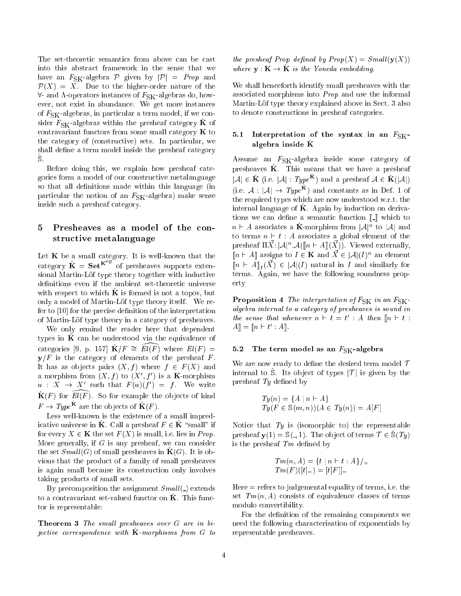The set-theoretic semantics from above can be cast into this abstract framework in the sense that we have an  $F_{SK}$ -algebra  $P$  given by  $|P| = Prop$  and  $\mathcal{P}(X) = \overline{X}$ . Due to the higher-order nature of the  $\forall$ - and  $\Lambda$ -operators instances of  $F_{SK}$ -algebras do, however, not exist in abundance. We get more instances of  $F_{SK}$ -algebras, in particular a term model, if we consider  $F_{SK}$ -algebras within the presheaf category  $\hat{K}$  of contravariant functors from some small category  $\bf{K}$  to the category of (constructive) sets. In particular, we shall define a term model inside the presheaf category S.

Before doing this, we explain how presheaf categories form a model of our constructive metalanguage so that all definitions made within this language (in particular the notion of an  $F_{SK}$ -algebra) make sense inside such a presheaf category.

## 5 Presheaves as a model of the constructive metalanguage

Let  $K$  be a small category. It is well-known that the category  $\mathbf{K} = \mathbf{Set}^{K^{-r}}$  of presheaves supports extensional Martin-Löf type theory together with inductive definitions even if the ambient set-theoretic universe with respect to which  $\bf{K}$  is formed is not a topos, but only a model of Martin-Löf type theory itself. We refer to  $[10]$  for the precise definition of the interpretation of Martin-Lof type theory in a category of presheaves.

We only remind the reader here that dependent types in  $\hat{K}$  can be understood via the equivalence of categories 9, p. 197  $K/F = E/(F)$  where  $E/(F) =$  $y/F$  is the category of elements of the presheaf F. It has as objects pairs  $(X, f)$  where  $f \in F(X)$  and a morphism from  $(X, f)$  to  $(X, f)$  is a **K**-morphism  $u : A \rightarrow A$  such that  $F(u)(f) = f$  we write  $\mathbf{K}(F)$  for  $E\{(F)$ . So for example the objects of kind  $F \to \mathit{True}$  are the objects of  $\mathbf{K}(F)$ .

Less well-known is the existence of a small impredicative universe in **K**. Call a presheaf  $F \in \mathbf{K}$  "small" if for every  $X \in \mathbf{K}$  the set  $F(X)$  is small, i.e. lies in Prop. More generally, if  $G$  is any presheaf, we can consider the set  $Small(G)$  of small presheaves in  $\mathbf{K}(G)$ . It is obvious that the product of a family of small presheaves is again small because its construction only involves taking products of small sets.

By precomposition the assignment  $Small($ ) extends to a contravariant set-valued functor on  $\tilde{K}$ . This functor is representable:

**Theorem 3** The small presheaves over  $G$  are in bijective correspondence with  $\bf{K}$ -morphisms from G to

the presheaf Prop defined by  $Prop(X) = Small(y(X))$ where  $y : K \to K$  is the Toneda embedding.

We shall henceforth identify small presheaves with the associated morphisms into Prop and use the informal Martin-Löf type theory explained above in Sect. 3 also to denote constructions in presheaf categories.

## 5.1 Interpretation of the syntax in an  $F_{\rm SK}$ algebra inside  $\hat{K}$

Assume an  $F_{SK}$ -algebra inside some category of  $p_{\text{r}}$  presheaves  $\mathbf{K}$ . This means that we have a presheaf  $|\mathcal{A}| \in \mathbf{K}$  (i.e.  $|\mathcal{A}|$  : Type<sup>x</sup>) and a presheaf  $\mathcal{A} \in \mathbf{K}(|\mathcal{A}|)$ (i.e.  $A : |\mathcal{A}| \to Type^{\mathbf{R}}$ ) and constants as in Def. 1 of the required types which are now understood w.r.t. the internal language of  $K$ . Again by induction on derivations we can define a semantic function  $\llbracket \cdot \rrbracket$  which to  $n \vdash A$  associates a **K**-morphism from  $|A|^n$  to  $|A|$  and to terms  $n \vdash t : A$  associates a global element of the presheaf  $\prod X: |\mathcal{A}|^n \cdot \mathcal{A}(\parallel n \vdash \mathcal{A}\parallel (X))$ . Viewed externally,  $||n \vdash A||$  assigns to  $I \in \mathbf{K}$  and  $X \in A$  $(I)^n$  an element  $\mathbb{I}^{n}$  and similarly for  $\mathbb{A}$   $\mathbb{I}_{I}(\Lambda) \subset \mathbb{A}$  and similarly for terms. Again, we have the following soundness property

**Proposition 4** The interpretation of  $F_{SK}$  in an  $F_{SK}$ algebra internal to a category of presheaves is sound in the sense that whenever  $n \in \iota$   $t = t$  : A then  $[n \in \iota]$ :  $A_{\parallel} = \| \bar{u} \cap \bar{u} + A \|.$ 

### 5.2 The term model as an  $F_{\rm SK}$ -algebra

We are now ready to define the desired term model  $\mathcal T$ internal to S. Its object of types  $|\mathcal{T}|$  is given by the presheaf  $Ty$  defined by

$$
Ty(n) = \{A \mid n \vdash A\}
$$
  

$$
Ty(F \in \mathbb{S}(m, n))(A \in Ty(n)) = A[F]
$$

Notice that  $Ty$  is (isomorphic to) the representable presheaf  $y(1) = S($ , 1). The object of terms  $\mathcal{T} \in S(T_y)$ is the presheaf  $Tm$  defined by

$$
Tm(n, A) = \{t \mid n \vdash t : A\}/=
$$
  

$$
Tm(F)([t]_{=}) = [t[F]]_{=}
$$

 $Here = refers to *judgemental* equality of terms, i.e. the$ set  $Tm(n, A)$  consists of equivalence classes of terms modulo convertibility.

For the definition of the remaining components we need the following characterisation of exponentials by representable presheaves.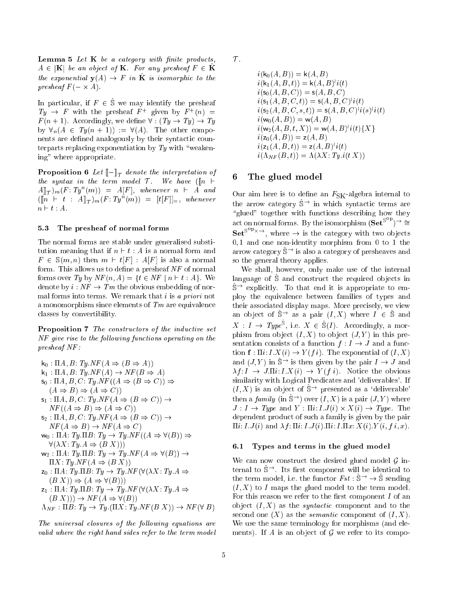**Lemma 5** Let  $K$  be a category with finite products,  $A \in |K|$  be an object of K. For any presheaf  $F \in \hat{K}$ the exponential  $y(x) \to x$  in  $\bf{K}$  is isomorphic to the presheaf F ( - A).

In particular, if  $F \in \hat{S}$  we may identify the presheaf  $I_y \rightarrow I$  with the presheaf  $I'$  given by  $I'(n) =$  $F(n + 1)$ . Accordingly, we define  $\forall$  :  $(Ty \rightarrow Ty) \rightarrow Ty$ by  $\forall_n (A \in Ty(n + 1)) := \forall (A)$ . The other components are defined analogously by their syntactic counterparts replacing exponentiation by  $Ty$  with "weakening" where appropriate.

 $\mathbf{P}$  . The interpretation of  $\mathbf{P}$  in interpretation of interpretation of  $\mathbf{P}$ the syntax in the term model  $\mathcal{T}$ . We have  $(\lceil n \rceil +$  $A \rrbracket_{\mathcal{T}}) m(F \colon T y^n(m)) = A[F],$  whenever  $n \vdash A$  and  $([\![ n \bigr] \vdash t : A]\!]_{\mathcal{T}})$  m  $(F: Ty^n(m)) = [t[F]]_=$ , whenever  $n \vdash t : A$ .

#### 5.3 The presheaf of normal forms

The normal forms are stable under generalised substitution meaning that if  $n \vdash t : A$  is a normal form and  $F \in \mathbb{S}(m, n)$  then  $m \vdash t[F] : A[F]$  is also a normal form. This allows us to define a presheaf  $NF$  of normal forms over Ty by  $NF(n, A) = \{t \in NF \mid n \vdash t : A\}$ . We denote by  $i : NF \to Tm$  the obvious embedding of normal forms into terms. We remark that  $i$  is a priori not a monomorphism since elements of  $T_m$  are equivalence classes by convertibility.

Proposition 7 The constructors of the inductive set NF give rise to the following functions operating on the presheaf NF :

 $k_0 : \Pi A, B: Ty \cdot NF(A \Rightarrow (B \Rightarrow A))$  $k_1 : \Pi A, B: Ty.NF(A) \rightarrow NF(B \Rightarrow A)$  $\mathsf{s}_0 : \Pi A, B, C: Ty \cdot NF((A \Rightarrow (B \Rightarrow C)) \Rightarrow$  $(A \Rightarrow B) \Rightarrow (A \Rightarrow C)$  $s_1 : \Pi A, B, C: Ty \cdot NF(A \Rightarrow (B \Rightarrow C)) \rightarrow$  $NF((A \Rightarrow B) \Rightarrow (A \Rightarrow C))$  $s_2 : \Pi A, B, C: Ty, NF (A \Rightarrow (B \Rightarrow C)) \rightarrow$  $NF(A \Rightarrow B) \rightarrow NF(A \Rightarrow C)$  $w_0 : \Pi A: Ty \Pi B: Ty \rightarrow Ty \cdot NF((A \Rightarrow \forall (B)) \Rightarrow$  $\forall (\lambda X: Ty A \Rightarrow (B X)))$  $w_2 : \Pi A: Ty \Pi B: Ty \rightarrow Ty \cdot NF(A \Rightarrow \forall (B)) \rightarrow$  $\Pi X: Ty.NF (A \Rightarrow (B X))$  $z_0 : \Pi A: Ty \cdot \Pi B: Ty \rightarrow Ty \cdot NF(\forall (\lambda X: Ty \cdot A \Rightarrow$  $(B X)$   $\Rightarrow$   $(A \Rightarrow \forall (B))$  $z_1 : \Pi A: Ty \cdot \Pi B: Ty \rightarrow Ty \cdot NF(\forall (\lambda X: Ty \cdot A \Rightarrow$  $(B X)) \rightarrow NF(A \Rightarrow \forall (B))$  $\Lambda_{NF} : \Pi B : T y \to T y. (\Pi X : T y. NF (B X)) \to NF (\forall B)$ 

The universal closures of the following equations are valid where the right hand sides refer to the term model  $\tau$ .

 $i(k_0(A, B)) = k(A, B)$  $i(K_1(A, D, U)) = K(A, D)^t i(U)$  $i(s_0(A, B, C)) = s(A, B, C)$  $i(s_1(A, D, \cup, l)) = s(A, D, \cup) i(l)$  $i(\mathsf{S}_2(A, D, \mathsf{C}, S, U)) = \mathsf{S}(A, D, \mathsf{C}) \cap i(\mathsf{S}) \cap i(U)$  $i(w_0(A, B)) = w(A, B)$  $i(w_2(A, D, i, A)) = w(A, D)^i(i \in \{A\})$  $i(z_0(A, B)) = z(A, B)$  $i(z_1(A, D, l)) = \mathsf{Z}(A, D)^i i(l)$  $i(\Lambda_{NF}(B, t)) = \Lambda(\lambda X: Ty \cdot i(t X))$ 

### 6 The glued model

Our aim here is to define an  $F_{SK}$ -algebra internal to the arrow category  $\hat{S}^{\rightarrow}$  in which syntactic terms are "glued" together with functions describing how they act on normal forms. By the isomorphism  $(\mathbf{Set}^{\mathcal{S}^{op}}) \rightarrow \cong$  $\mathbf{Set}^{\mathcal{S}^{-r} \times \rightarrow}$ , where  $\rightarrow$  is the category with two objects 0; 1 and one non-identity morphism from 0 to 1 the arrow category  $\mathbb{S}^{\rightarrow}$  is also a category of presheaves and so the general theory applies.

We shall, however, only make use of the internal language of S^ and construct the required ob jects in  $\mathbb{S}^{\rightarrow}$  explicitly. To that end it is appropriate to employ the equivalence between families of types and their associated display maps. More precisely, we view an object of  $S^{\prime}$  as a pair  $(I, A)$  where  $I \in S^{\prime}$  and  $X: I \to Type^{\omega}$ , i.e.  $X \in \mathbb{S}(I)$ . Accordingly, a morphism from object  $(I, X)$  to object  $(J, Y)$  in this presentation consists of a function  $f: I \to J$  and a function  $f: \Pi i: I.X(i) \to Y(f i)$ . The exponential of  $(I, X)$ and  $(J, Y)$  in  $\hat{\mathbb{S}}^{\to}$  is then given by the pair  $I \to J$  and  $\lambda f: I \to J \Pi i: I \times (i) \to Y (f \ i)$ . Notice the obvious similarity with Logical Predicates and 'deliverables'. If  $(I, X)$  is an object of  $\mathbb{S}^{\rightarrow}$  presented as a 'deliverable' then a family (in  $\hat{S}^{\rightarrow}$ ) over  $(I, X)$  is a pair  $(J, Y)$  where J : I ! Type and Y : i: I :J (i) - X(i) ! Type . The dependent product of such a family is given by the pair  $\overline{\Pi}i: I. J(i)$  and  $\lambda f: \overline{\Pi}i: I. J(i) . \overline{\Pi}i: I. \overline{\Pi}x: X(i). Y(i, f.i., x).$ 

#### 6.1 Types and terms in the glued model

We can now construct the desired glued model  $\mathcal G$  internal to  $\hat{S}^{\rightarrow}$ . Its first component will be identical to the term model, i.e. the functor  $Fst : \hat{S} \rightarrow \hat{S}$  sending  $(I, X)$  to I maps the glued model to the term model. For this reason we refer to the first component  $I$  of an object  $(I, X)$  as the *syntactic* component and to the second one  $(X)$  as the *semantic* component of  $(I, X)$ . We use the same terminology for morphisms (and elements). If A is an object of  $G$  we refer to its compo-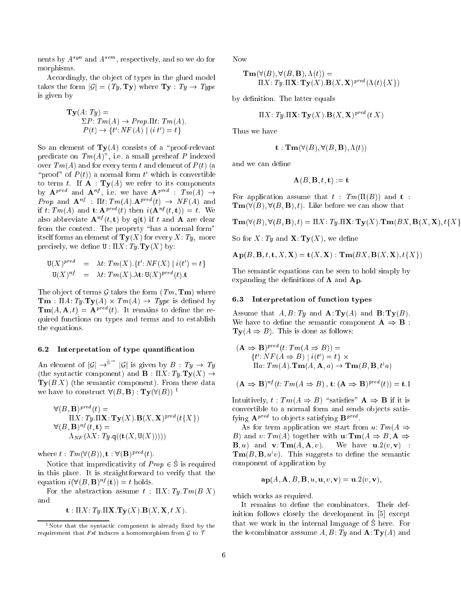nents by  $A^{s}$  and  $A^{s}$ , respectively, and so we do for morphisms.

Accordingly, the object of types in the glued model takes the form  $|\mathcal{G}| = (Ty, Ty)$  where  $Ty : Ty \rightarrow Type$ is given by

$$
\mathbf{Ty}(A: Ty) =
$$
  
\n
$$
\Sigma P: Tm(A) \to Prop.\Pi t: Tm(A).
$$
  
\n
$$
P(t) \to \{t': NF(A) \mid (i \ t') = t\}
$$

So an element of  $\mathbf{Ty}(A)$  consists of a "proof-relevant" predicate on  $Tm(A)$ ", i.e. a small presheaf P indexed over  $Tm(A)$  and for every term t and element of  $P(t)$  (a proof of  $P(t)$  a normal form t which is convertible to term t. If  $\mathbf{A} : \mathbf{Ty}(A)$  we refer to its components by  $A^p$  and  $A^p$ , i.e. we have  $A^p$ . : Tm(A) ! *Prop* and  $\mathbf{A}^{n}$ : It:  $Im(A)$ :  $\mathbf{A}^{p}$  (b)  $\rightarrow$   $Nr(A)$  and if t: I then and t:  $A^{p+q-1}(t)$  then  $i(A^{nq-1}(t, t)) \equiv t$ . We also abbreviate  $\mathbf{A}^{nf}(t, t)$  by  $q(t)$  if t and  $\mathbf{A}$  are clear from the context. The property "has a normal form" itself forms an element of  $\mathbf{Ty}(X)$  for every X: Ty, more precisely, we define  $U : \Pi X : T y . T y(X)$  by:

$$
\mathbf{U}(X)^{pred} = \lambda t: Tm(X). \{t': NF(X) \mid i(t') = t\}
$$
  

$$
\mathbf{U}(X)^{nf} = \lambda t: Tm(X). \lambda \mathbf{t}: \mathbf{U}(X)^{pred}(t). \mathbf{t}
$$

The object of terms  $G$  takes the form  $(Tm, Tm)$  where  $\mathcal{I} = \mathcal{I}$  . The state  $\mathcal{I} = \mathcal{I}$  is the state  $\mathcal{I} = \mathcal{I}$  . The state is defined by  $\mathcal{I} = \mathcal{I}$  $\text{Im}(A, A, t) = A^{r-r} (t)$ . It remains to define the required functions on types and terms and to establish the equations.

#### Interpretation of type quantification  $6.2$

An element of  $|\mathcal{G}| \to^{\infty}$   $|\mathcal{G}|$  is given by  $B : Ty \to Ty$ (the syntactic component) and  $\mathbf{B} : \Pi X: Ty, Ty(X) \rightarrow$  $\mathbf{Ty}(B|X)$  (the semantic component). From these data we have to construct  $\forall (B, \mathbf{B}) : \mathbf{Ty}(\forall (B))$ <sup>1</sup>

$$
\forall (B, \mathbf{B})^{pred}(t) = \Pi X: Ty \cdot \Pi \mathbf{X}: \mathbf{Ty}(X) \cdot \mathbf{B}(X, \mathbf{X})^{pred}(t\{X\})
$$
  

$$
\forall (B, \mathbf{B})^{nf}(t, \mathbf{t}) = \Lambda_{NF}(\lambda X: Ty \cdot \mathbf{q}((\mathbf{t}(X, \mathbf{U}(X)))))
$$

Where  $t : Im(v(B)), t : v(B)^{r-1}(t)$ .

 $P_{\text{source}}$  into impredicativity of  $P_{\text{top}} \in \mathcal{S}$  is required in this place. It is straightforward to verify that the equation  $i(v(D, D)^{\alpha}(U)) = t$  holds.

For the abstraction assume  $t : \Pi X: Ty$ .  $Tm(B|X)$ and

 $\mathbf{t} : \Pi X: Ty \cdot \Pi \mathbf{X} \cdot \mathbf{T} \mathbf{y}(X) \cdot \mathbf{B}(X, \mathbf{X}, t \cdot X).$ 

Now

$$
\mathbf{Tm}(\forall (B), \forall (B, \mathbf{B}), \Lambda(t)) =
$$
  
II X: Ty. II**X**:  $\mathbf{Ty}(X) \cdot \mathbf{B}(X, \mathbf{X})^{pred}(\Lambda(t) \{X\})$ 

by definition. The latter equals

$$
\Pi X \colon T y. \Pi \mathbf{X} \colon \mathbf{Ty}(X). \mathbf{B}(X, \mathbf{X})^{pred}(t|X)
$$

Thus we have

$$
\mathbf{t} : \mathbf{Tm}(\forall (B), \forall (B, \mathbf{B}), \Lambda(t))
$$

and we can define

$$
\mathbf{\Lambda}(B,\mathbf{B},t,\mathbf{t}):=\mathbf{t}
$$

For application assume that  $t$  :  $T_m(\Pi(B))$  and  $t$  :  $\textbf{Tm}(\forall (B), \forall (B, B), t)$ . Like before we can show that

$$
\mathbf{Tm}(\forall (B),\forall (B,\mathbf{B}),t) = \Pi X: Ty.\Pi \mathbf{X}: \mathbf{Ty}(X).\mathbf{Tm}(BX,\mathbf{B}(X,\mathbf{X}),t\{X\})
$$

So for X: Ty and  $X: Ty(X)$ , we define

$$
\mathbf{Ap}(B,\mathbf{B},t,\mathbf{t},X,\mathbf{X}) = \mathbf{t}(X,\mathbf{X}): \mathbf{Tm}(BX,\mathbf{B}(X,\mathbf{X}),t\{X\})
$$

The semantic equations can be seen to hold simply by expanding the definitions of  $\Lambda$  and  $Ap$ .

#### 6.3 Interpretation of function types

Assume that  $A, B: Ty$  and  $\mathbf{A}:\mathbf{Ty}(A)$  and  $\mathbf{B}:\mathbf{Ty}(B)$ . We have to define the semantic component  $A \Rightarrow B$ :  $\mathbf{Ty}(A \Rightarrow B)$ . This is done as follows:

$$
(\mathbf{A} \Rightarrow \mathbf{B})^{pred}(t: Tm(A \Rightarrow B)) =
$$
  
{t': NF(A \Rightarrow B) | i(t') = t} ×  
\Pi a: Tm(A).**Tm**(A, **A**, a) \rightarrow **Tm**(B, **B**, t<sup>2</sup>a)

$$
(\mathbf{A} \Rightarrow \mathbf{B})^{nf}
$$
 (*t*:  $Tm(A \Rightarrow B)$ ,  $\mathbf{t}$ :  $(\mathbf{A} \Rightarrow \mathbf{B})^{pred}(t)) = \mathbf{t}.1$ 

Intuitively,  $t : Tm(A \Rightarrow B)$  "satisfies"  $A \Rightarrow B$  if it is convertible to a normal form and sends ob jects satisiving  $A^{r}$  to objects satisfying  $B^{r}$ .

As for term application we start from u:  $Tm(A \Rightarrow$ B) and v:  $Tm(A)$  together with **u**:  $\text{Tm}(A \Rightarrow B, A \Rightarrow$  $\mathbf{B}, u)$  and  $\mathbf{v}: \mathbf{Tm}(A, \mathbf{A}, v)$ . We have  $\mathbf{u}.2(v, \mathbf{v})$ :  $\textbf{I} \textbf{m}(B, B, wv)$ . Inis suggests to define the semantic component of application by

$$
\mathbf{ap}(A, \mathbf{A}, B, \mathbf{B}, u, \mathbf{u}, v, \mathbf{v}) = \mathbf{u}.2(v, \mathbf{v}),
$$

which works as required.

It remains to define the combinators. Their definition follows closely the development in [5] except that we work in the internal language of S^ here. For the k-combinator asssume  $A, B: Ty$  and  $\mathbf{A}: \mathbf{Ty}(A)$  and

<sup>1</sup>Note that the syntactic component is already xed by the requirement that Fst induces <sup>a</sup> homomorphism from <sup>G</sup> to <sup>T</sup>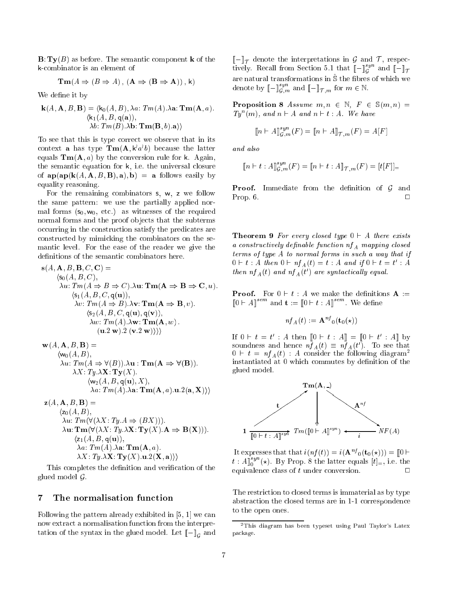$\mathbf{B}:\mathbf{Tv}(B)$  as before. The semantic component **k** of the k-combinator is an element of

$$
Tm(A \Rightarrow (B \Rightarrow A), (A \Rightarrow (B \Rightarrow A)), k)
$$

We define it by

$$
\mathbf{k}(A, \mathbf{A}, B, \mathbf{B}) = \langle \mathbf{k}_0(A, B), \lambda a: Tm(A). \lambda \mathbf{a}: \mathbf{Tm}(\mathbf{A}, a).
$$

$$
\langle \mathbf{k}_1(A, B, \mathbf{q}(\mathbf{a})),
$$

$$
\lambda b: Tm(B). \lambda \mathbf{b}: \mathbf{Tm}(\mathbf{B}, b).\mathbf{a} \rangle \rangle
$$

To see that this is type correct we observe that in its context **a** has type  $\text{Im}(A, \kappa \, w \, v)$  because the latter equals  $\text{Tm}(A, a)$  by the conversion rule for k. Again, the semantic equation for k, i.e. the universal closure of  $\mathbf{ap}(\mathbf{ap}(\mathbf{k}(A, \mathbf{A}, B, \mathbf{B}), \mathbf{a}), \mathbf{b}) = \mathbf{a}$  follows easily by equality reasoning.

For the remaining combinators s, w, <sup>z</sup> we follow the same pattern: we use the partially applied normal forms  $(s_0, w_0, \text{ etc.})$  as witnesses of the required normal forms and the proof ob jects that the subterms occurring in the construction satisfy the predicates are constructed by mimicking the combinators on the semantic level. For the ease of the reader we give the definitions of the semantic combinators here.

$$
\mathbf{s}(A, \mathbf{A}, B, \mathbf{B}, C, \mathbf{C}) =
$$
\n
$$
\langle \mathbf{s}_0(A, B, C),
$$
\n
$$
\lambda u: Tm(A \Rightarrow B \Rightarrow C).\lambda \mathbf{u}: \mathbf{Tm}(\mathbf{A} \Rightarrow \mathbf{B} \Rightarrow \mathbf{C}, u).
$$
\n
$$
\langle \mathbf{s}_1(A, B, C, \mathbf{q}(\mathbf{u})),
$$
\n
$$
\lambda v: Tm(A \Rightarrow B).\lambda \mathbf{v}: \mathbf{Tm}(\mathbf{A} \Rightarrow \mathbf{B}, v).
$$
\n
$$
\langle \mathbf{s}_2(A, B, C, \mathbf{q}(\mathbf{u}), \mathbf{q}(\mathbf{v})),
$$
\n
$$
\lambda w: Tm(A).\lambda \mathbf{w}: \mathbf{Tm}(\mathbf{A}, w).
$$
\n
$$
(\mathbf{u}.2 \mathbf{w}).2 (\mathbf{v}.2 \mathbf{w})) \rangle
$$
\n
$$
\mathbf{w}(A, \mathbf{A}, B, \mathbf{B}) =
$$

$$
\langle w_0(A, B),\nabla u: Tm(A \Rightarrow \forall (B)).\lambda \mathbf{u}: Tm(\mathbf{A} \Rightarrow \forall (\mathbf{B})).
$$
  
\n
$$
\lambda X: Ty.\mathbf{X}: \mathbf{Ty}(X).
$$
  
\n
$$
\langle w_2(A, B, \mathbf{q}(\mathbf{u}), X),\nabla u: Tm(\mathbf{A}, a).\mathbf{u}.2(\mathbf{a}, \mathbf{X})\rangle
$$

$$
\mathbf{z}(A, \mathbf{A}, B, \mathbf{B}) =
$$
\n
$$
\langle z_0(A, B),
$$
\n
$$
\lambda u: Tm(\forall (\lambda X: Ty.A \Rightarrow (BX))).
$$
\n
$$
\lambda \mathbf{u}: \mathbf{Tm}(\forall (\lambda X: Ty.X \mathbf{X}: \mathbf{Ty}(X). \mathbf{A} \Rightarrow \mathbf{B}(\mathbf{X}))).
$$
\n
$$
\langle z_1(A, B, \mathbf{q}(\mathbf{u})),
$$
\n
$$
\lambda a: Tm(A). \lambda \mathbf{a}: \mathbf{Tm}(\mathbf{A}, a).
$$
\n
$$
\lambda X: Ty.X \mathbf{X}: \mathbf{Ty}(X). \mathbf{u}. 2(\mathbf{X}, \mathbf{a})) \rangle
$$

This completes the definition and verification of the glued model  $\mathcal{G}$ .

#### $\overline{7}$ The normalisation function

Following the pattern already exhibited in [5, 1] we can now extract a normalisation function from the interpretation of the syntax in the glued model. Let  $\mathbb{L}$  if  $\mathbb{L}$ 

 $\mathbb{L}$  ) is denote the interpretations in G and T , respectively tively. Recall from Section 5.1 that  $\llbracket - \rrbracket_G^{s}$  and  $\llbracket - \rrbracket$  $\sim$ are natural transformations in S^ the bres of which we denote by  $\llbracket - \rrbracket_{\mathcal{G},m}^{\mathcal{G},m}$  and  $\llbracket - \rrbracket_{\mathcal{T},m}$  for  $m \in \mathbb{N}$ .

**Proposition 8** Assume  $m, n \in \mathbb{N}, F \in \mathbb{S}(m, n) =$  $Ty^n(m)$ , and  $n \vdash A$  and  $n \vdash t : A$ . We have

$$
\llbracket n \vdash A \rrbracket_{\mathcal{G},m}^{syn} (F) = \llbracket n \vdash A \rrbracket_{\mathcal{T},m} (F) = A[F]
$$

and also

$$
\llbracket n \vdash t : A \rrbracket_{\mathcal{G},m}^{syn}(F) = \llbracket n \vdash t : A \rrbracket_{\mathcal{T},m}(F) = [t[F]]_{=}
$$

**Proof.** Immediate from the definition of  $\mathcal{G}$  and  $\Box$ Prop. 6. <sup>2</sup>

**Theorem 9** For every closed type  $0 \vdash A$  there exists a constructively definable function  $nf_A$  mapping closed terms of type A to normal forms in such a way that if  $0 \subset t : A$  then  $0 \subset n_{f_A}(t) = t : A$  and  $y \cup \subset t = t : A$ then  $n_{A}(t)$  and  $n_{A}(t)$  are syntactically equal.

**Proof.** For  $0 \vdash t : A$  we make the definitions  $A :=$  $||0 \vdash A||$  and  $t := ||0 \vdash t : A||$  We define

$$
nf_A(t) := \mathbf{A}^{nf}{}_0(\mathbf{t}_0(\star))
$$

If  $0 \in t = t$  : A then  $0 \in t : A$   $\equiv 0 \in t : A$  by soundness and hence  $n_{A}(t) = n_{A}(t)$ . To see that  $0 \vdash t = nf_A(t)$ : A consider the following diagram<sup>2</sup> instantiated at 0 which commutes by definition of the glued model.



It expresses that that  $i(nj(t)) = i(\mathbf{A}^{\alpha})_0(\mathbf{t}_0(\star)) = ||0||\top$  $t : A\|_{0}^{\circ}$  (\*). By Prop. 8 the latter equals  $|t|_{0}$ , i.e. the equivalence class of  $t$  under conversion.

The restriction to closed terms is immaterial as by type abstraction the closed terms are in 1-1 correspondence to the open ones.

<sup>2</sup>This diagram has been typeset using Paul Taylor's Latex package.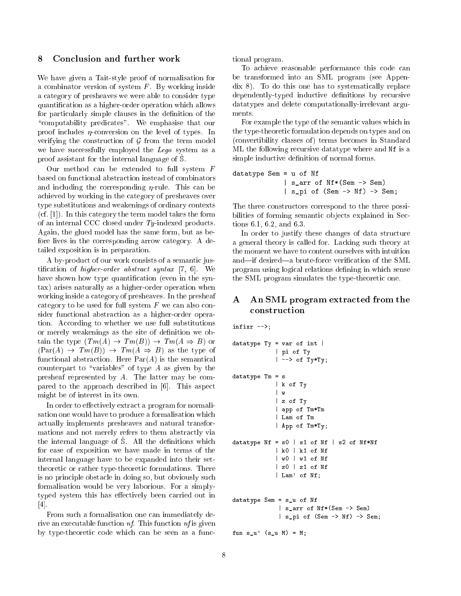## 8 Conclusion and further work

We have given a Tait-style proof of normalisation for a combinator version of system  $F$ . By working inside a category of presheaves we were able to consider type quantication as a higher-order operation which allows for particularly simple clauses in the definition of the "computability predicates". We emphasise that our proof includes  $\eta$ -conversion on the level of types. In verifying the construction of  $\mathcal G$  from the term model we have successfully employed the Lego system as a proof assistant for the internal language of S.

Our method can be extended to full system  $F$ based on functional abstraction instead of combinators and including the corresponding  $\eta$ -rule. This can be achieved by working in the category of presheaves over type substitutions and weakenings of ordinary contexts (cf. [1]). In this category the term model takes the form of an internal CCC closed under Ty -indexed products. Again, the glued model has the same form, but as before lives in the corresponding arrow category. A detailed exposition is in preparation.

A by-product of our work consists of a semantic justification of *higher-order abstract syntax* [7, 6]. We have shown how type quantification (even in the syntax) arises naturally as a higher-order operation when working inside a category of presheaves. In the presheaf category to be used for full system  $F$  we can also consider functional abstraction as a higher-order operation. According to whether we use full substitutions or merely weakenings as the site of definition we obtain the type  $(Tm(A) \rightarrow Tm(B)) \rightarrow Tm(A \Rightarrow B)$  or  $(\text{Par}(A) \rightarrow \text{Tm}(B)) \rightarrow \text{Tm}(A \Rightarrow B)$  as the type of functional abstraction. Here  $Par(A)$  is the semantical counterpart to "variables" of type  $A$  as given by the presheaf represented by A. The latter may be compared to the approach described in [6]. This aspect might be of interest in its own.

In order to effectively extract a program for normalisation one would have to produce a formalisation which actually implements presheaves and natural transformations and not merely refers to them abstractly via the internal language of S. All the definitions which for ease of exposition we have made in terms of the internal language have to be expanded into their settheoretic or rather type-theoretic formulations. There is no principle obstacle in doing so, but obviously such formalisation would be very laborious. For a simplytyped system this has effectively been carried out in [4].

From such a formalisation one can immediately derive an executable function  $nf$ . This function  $nf$  is given by type-theoretic code which can be seen as a functional program.

To achieve reasonable performance this code can be transformed into an SML program (see Appendix 8). To do this one has to systematically replace dependently-typed inductive definitions by recursive datatypes and delete computationally-irrelevant argu-

For example the type of the semantic values which in the type-theoretic formulation depends on types and on (convertibility classes of) terms becomes in Standard ML the following recursive datatype where and Nf is a simple inductive definition of normal forms.

```
datatype Sem = u of Nf
             | s_arr of Nf*(Sem -> Sem)
             | s_pi of (Sem -> Nf) -> Sem;
```
The three constructors correspond to the three possibilities of forming semantic objects explained in Sections 6.1, 6.2, and 6.3.

In order to justify these changes of data structure a general theory is called for. Lacking such theory at the moment we have to content ourselves with intuition and—if desired—a brute-force verification of the SML program using logical relations defining in which sense the SML program simulates the type-theoretic one.

#### A An SML program extracted from the construction

infixr -->;

```
datatype Ty = var of int || pi of Ty
            | --> of Ty*Ty;
datatype Tm = s
            | k of Ty
            | w
            | z of Ty
            | app of Tm*Tm
            | Lam of Tm
            | App of Tm*Ty;
datatype Nf = s0 | s1 of Nf | s2 of Nf*Nf| k0 | k1 of Nf
            | w0 | w1 of Nf
            | z0 | z1 of Nf
            | Lam' of Nf;
datatype Sem = s_u of Nf
             | s_arr of Nf*(Sem -> Sem)
             | s_pi of (Sem -> Nf) -> Sem;
```

```
fun s_u' (s_u M) = M;
```